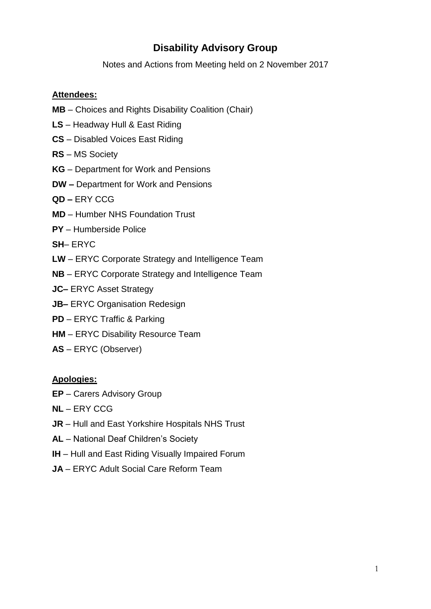## **Disability Advisory Group**

Notes and Actions from Meeting held on 2 November 2017

#### **Attendees:**

- **MB** Choices and Rights Disability Coalition (Chair)
- **LS** Headway Hull & East Riding
- **CS** Disabled Voices East Riding
- **RS** MS Society
- **KG** Department for Work and Pensions
- **DW –** Department for Work and Pensions
- **QD –** ERY CCG
- **MD** Humber NHS Foundation Trust
- **PY** Humberside Police
- **SH** ERYC
- **LW** ERYC Corporate Strategy and Intelligence Team
- **NB** ERYC Corporate Strategy and Intelligence Team
- **JC–** ERYC Asset Strategy
- **JB–** ERYC Organisation Redesign
- **PD** ERYC Traffic & Parking
- **HM** ERYC Disability Resource Team
- **AS** ERYC (Observer)

#### **Apologies:**

- **EP** Carers Advisory Group
- **NL** ERY CCG
- **JR** Hull and East Yorkshire Hospitals NHS Trust
- **AL** National Deaf Children's Society
- **IH** Hull and East Riding Visually Impaired Forum
- **JA** ERYC Adult Social Care Reform Team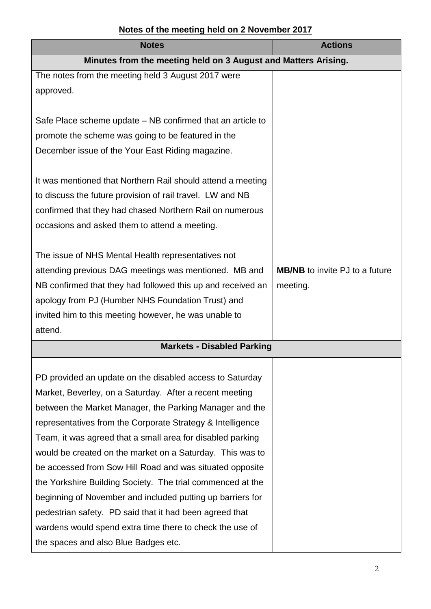### **Notes of the meeting held on 2 November 2017**

| <b>Notes</b>                                                   | <b>Actions</b>                        |
|----------------------------------------------------------------|---------------------------------------|
| Minutes from the meeting held on 3 August and Matters Arising. |                                       |
| The notes from the meeting held 3 August 2017 were             |                                       |
| approved.                                                      |                                       |
|                                                                |                                       |
| Safe Place scheme update – NB confirmed that an article to     |                                       |
| promote the scheme was going to be featured in the             |                                       |
| December issue of the Your East Riding magazine.               |                                       |
|                                                                |                                       |
| It was mentioned that Northern Rail should attend a meeting    |                                       |
| to discuss the future provision of rail travel. LW and NB      |                                       |
| confirmed that they had chased Northern Rail on numerous       |                                       |
| occasions and asked them to attend a meeting.                  |                                       |
|                                                                |                                       |
| The issue of NHS Mental Health representatives not             |                                       |
| attending previous DAG meetings was mentioned. MB and          | <b>MB/NB</b> to invite PJ to a future |
| NB confirmed that they had followed this up and received an    | meeting.                              |
| apology from PJ (Humber NHS Foundation Trust) and              |                                       |
| invited him to this meeting however, he was unable to          |                                       |
| attend.                                                        |                                       |
| <b>Markets - Disabled Parking</b>                              |                                       |
|                                                                |                                       |
| PD provided an update on the disabled access to Saturday       |                                       |
| Market, Beverley, on a Saturday. After a recent meeting        |                                       |
| between the Market Manager, the Parking Manager and the        |                                       |
| representatives from the Corporate Strategy & Intelligence     |                                       |
| Team, it was agreed that a small area for disabled parking     |                                       |
| would be created on the market on a Saturday. This was to      |                                       |
| be accessed from Sow Hill Road and was situated opposite       |                                       |
| the Yorkshire Building Society. The trial commenced at the     |                                       |
| beginning of November and included putting up barriers for     |                                       |
| pedestrian safety. PD said that it had been agreed that        |                                       |
| wardens would spend extra time there to check the use of       |                                       |
| the spaces and also Blue Badges etc.                           |                                       |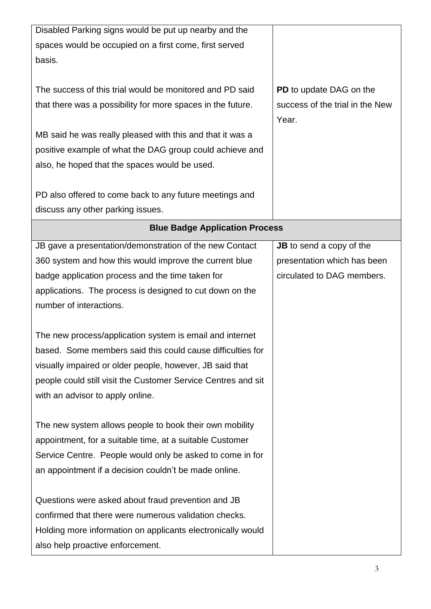| Disabled Parking signs would be put up nearby and the                                                                 |                                                                |
|-----------------------------------------------------------------------------------------------------------------------|----------------------------------------------------------------|
| spaces would be occupied on a first come, first served                                                                |                                                                |
| basis.                                                                                                                |                                                                |
| The success of this trial would be monitored and PD said                                                              | PD to update DAG on the                                        |
| that there was a possibility for more spaces in the future.                                                           | success of the trial in the New                                |
|                                                                                                                       | Year.                                                          |
| MB said he was really pleased with this and that it was a                                                             |                                                                |
| positive example of what the DAG group could achieve and                                                              |                                                                |
| also, he hoped that the spaces would be used.                                                                         |                                                                |
|                                                                                                                       |                                                                |
| PD also offered to come back to any future meetings and<br>discuss any other parking issues.                          |                                                                |
| <b>Blue Badge Application Process</b>                                                                                 |                                                                |
|                                                                                                                       |                                                                |
| JB gave a presentation/demonstration of the new Contact<br>360 system and how this would improve the current blue     | <b>JB</b> to send a copy of the<br>presentation which has been |
| badge application process and the time taken for                                                                      | circulated to DAG members.                                     |
| applications. The process is designed to cut down on the                                                              |                                                                |
| number of interactions.                                                                                               |                                                                |
|                                                                                                                       |                                                                |
| The new process/application system is email and internet                                                              |                                                                |
| based. Some members said this could cause difficulties for                                                            |                                                                |
| visually impaired or older people, however, JB said that                                                              |                                                                |
| people could still visit the Customer Service Centres and sit                                                         |                                                                |
| with an advisor to apply online.                                                                                      |                                                                |
|                                                                                                                       |                                                                |
| The new system allows people to book their own mobility                                                               |                                                                |
| appointment, for a suitable time, at a suitable Customer<br>Service Centre. People would only be asked to come in for |                                                                |
| an appointment if a decision couldn't be made online.                                                                 |                                                                |
|                                                                                                                       |                                                                |
| Questions were asked about fraud prevention and JB                                                                    |                                                                |
| confirmed that there were numerous validation checks.                                                                 |                                                                |
| Holding more information on applicants electronically would                                                           |                                                                |
| also help proactive enforcement.                                                                                      |                                                                |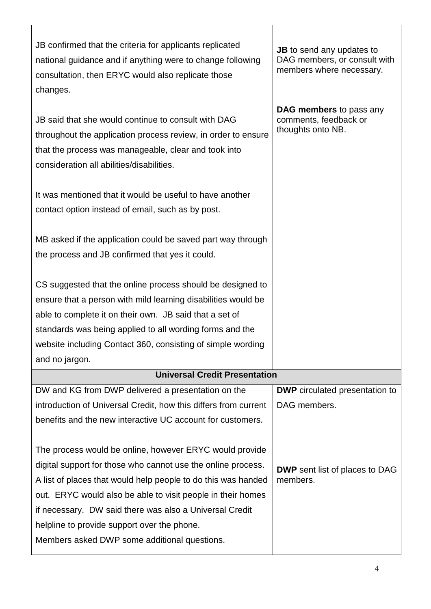| JB confirmed that the criteria for applicants replicated<br>national guidance and if anything were to change following<br>consultation, then ERYC would also replicate those<br>changes.                                                                                                                                                               | <b>JB</b> to send any updates to<br>DAG members, or consult with<br>members where necessary. |  |  |
|--------------------------------------------------------------------------------------------------------------------------------------------------------------------------------------------------------------------------------------------------------------------------------------------------------------------------------------------------------|----------------------------------------------------------------------------------------------|--|--|
| JB said that she would continue to consult with DAG<br>throughout the application process review, in order to ensure<br>that the process was manageable, clear and took into<br>consideration all abilities/disabilities.                                                                                                                              | <b>DAG members to pass any</b><br>comments, feedback or<br>thoughts onto NB.                 |  |  |
| It was mentioned that it would be useful to have another<br>contact option instead of email, such as by post.                                                                                                                                                                                                                                          |                                                                                              |  |  |
| MB asked if the application could be saved part way through<br>the process and JB confirmed that yes it could.                                                                                                                                                                                                                                         |                                                                                              |  |  |
| CS suggested that the online process should be designed to<br>ensure that a person with mild learning disabilities would be<br>able to complete it on their own. JB said that a set of<br>standards was being applied to all wording forms and the<br>website including Contact 360, consisting of simple wording<br>and no jargon.                    |                                                                                              |  |  |
| <b>Universal Credit Presentation</b>                                                                                                                                                                                                                                                                                                                   |                                                                                              |  |  |
| DW and KG from DWP delivered a presentation on the<br>introduction of Universal Credit, how this differs from current<br>benefits and the new interactive UC account for customers.<br>The process would be online, however ERYC would provide                                                                                                         | <b>DWP</b> circulated presentation to<br>DAG members.                                        |  |  |
| digital support for those who cannot use the online process.<br>A list of places that would help people to do this was handed<br>out. ERYC would also be able to visit people in their homes<br>if necessary. DW said there was also a Universal Credit<br>helpline to provide support over the phone.<br>Members asked DWP some additional questions. | <b>DWP</b> sent list of places to DAG<br>members.                                            |  |  |

 $\mathsf{r}$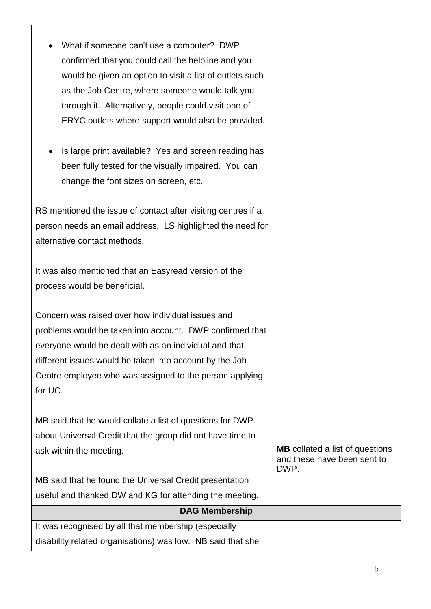| What if someone can't use a computer? DWP<br>confirmed that you could call the helpline and you<br>would be given an option to visit a list of outlets such<br>as the Job Centre, where someone would talk you<br>through it. Alternatively, people could visit one of<br>ERYC outlets where support would also be provided.<br>Is large print available? Yes and screen reading has<br>been fully tested for the visually impaired. You can<br>change the font sizes on screen, etc. |                                                                               |  |
|---------------------------------------------------------------------------------------------------------------------------------------------------------------------------------------------------------------------------------------------------------------------------------------------------------------------------------------------------------------------------------------------------------------------------------------------------------------------------------------|-------------------------------------------------------------------------------|--|
| RS mentioned the issue of contact after visiting centres if a<br>person needs an email address. LS highlighted the need for<br>alternative contact methods.                                                                                                                                                                                                                                                                                                                           |                                                                               |  |
| It was also mentioned that an Easyread version of the<br>process would be beneficial.                                                                                                                                                                                                                                                                                                                                                                                                 |                                                                               |  |
| Concern was raised over how individual issues and<br>problems would be taken into account. DWP confirmed that<br>everyone would be dealt with as an individual and that<br>different issues would be taken into account by the Job<br>Centre employee who was assigned to the person applying<br>for UC.                                                                                                                                                                              |                                                                               |  |
| MB said that he would collate a list of questions for DWP<br>about Universal Credit that the group did not have time to<br>ask within the meeting.<br>MB said that he found the Universal Credit presentation<br>useful and thanked DW and KG for attending the meeting.                                                                                                                                                                                                              | <b>MB</b> collated a list of questions<br>and these have been sent to<br>DWP. |  |
| <b>DAG Membership</b>                                                                                                                                                                                                                                                                                                                                                                                                                                                                 |                                                                               |  |
| It was recognised by all that membership (especially<br>disability related organisations) was low. NB said that she                                                                                                                                                                                                                                                                                                                                                                   |                                                                               |  |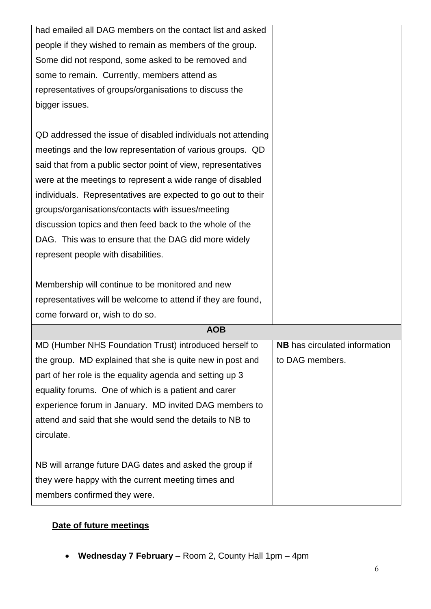| had emailed all DAG members on the contact list and asked     |                               |
|---------------------------------------------------------------|-------------------------------|
| people if they wished to remain as members of the group.      |                               |
| Some did not respond, some asked to be removed and            |                               |
| some to remain. Currently, members attend as                  |                               |
| representatives of groups/organisations to discuss the        |                               |
| bigger issues.                                                |                               |
|                                                               |                               |
| QD addressed the issue of disabled individuals not attending  |                               |
| meetings and the low representation of various groups. QD     |                               |
| said that from a public sector point of view, representatives |                               |
| were at the meetings to represent a wide range of disabled    |                               |
| individuals. Representatives are expected to go out to their  |                               |
| groups/organisations/contacts with issues/meeting             |                               |
| discussion topics and then feed back to the whole of the      |                               |
| DAG. This was to ensure that the DAG did more widely          |                               |
| represent people with disabilities.                           |                               |
|                                                               |                               |
| Membership will continue to be monitored and new              |                               |
| representatives will be welcome to attend if they are found,  |                               |
| come forward or, wish to do so.                               |                               |
| <b>AOB</b>                                                    |                               |
| MD (Humber NHS Foundation Trust) introduced herself to        | NB has circulated information |
| the group. MD explained that she is quite new in post and     | to DAG members.               |
| part of her role is the equality agenda and setting up 3      |                               |
| equality forums. One of which is a patient and carer          |                               |
| experience forum in January. MD invited DAG members to        |                               |
| attend and said that she would send the details to NB to      |                               |
| circulate.                                                    |                               |
|                                                               |                               |
| NB will arrange future DAG dates and asked the group if       |                               |
| they were happy with the current meeting times and            |                               |
| members confirmed they were.                                  |                               |

# **Date of future meetings**

**Wednesday 7 February** – Room 2, County Hall 1pm – 4pm